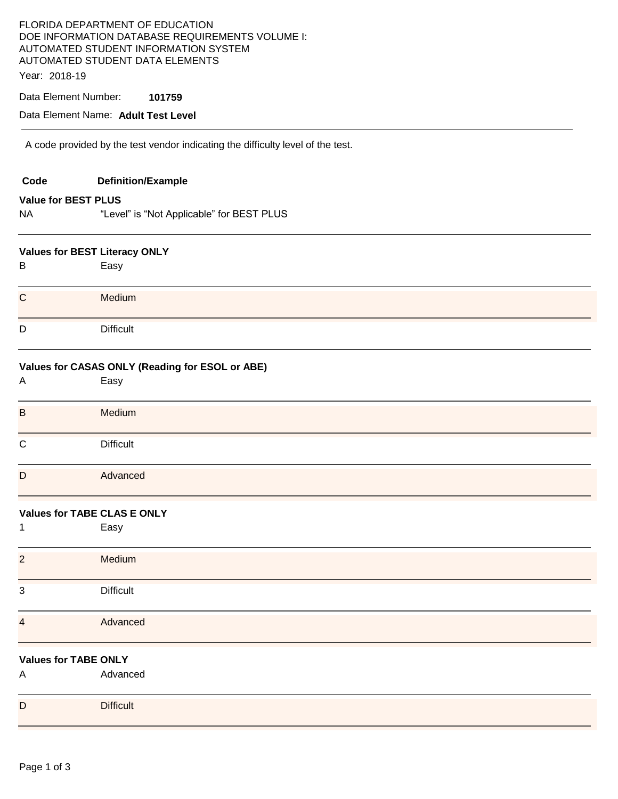| FLORIDA DEPARTMENT OF EDUCATION<br>DOE INFORMATION DATABASE REQUIREMENTS VOLUME I:<br>AUTOMATED STUDENT INFORMATION SYSTEM<br>AUTOMATED STUDENT DATA ELEMENTS<br>Year: 2018-19 |                                                                                 |  |  |  |  |  |  |
|--------------------------------------------------------------------------------------------------------------------------------------------------------------------------------|---------------------------------------------------------------------------------|--|--|--|--|--|--|
|                                                                                                                                                                                | Data Element Number:<br>101759<br>Data Element Name: Adult Test Level           |  |  |  |  |  |  |
|                                                                                                                                                                                |                                                                                 |  |  |  |  |  |  |
|                                                                                                                                                                                | A code provided by the test vendor indicating the difficulty level of the test. |  |  |  |  |  |  |
| Code                                                                                                                                                                           | <b>Definition/Example</b>                                                       |  |  |  |  |  |  |
| <b>Value for BEST PLUS</b>                                                                                                                                                     |                                                                                 |  |  |  |  |  |  |
| <b>NA</b>                                                                                                                                                                      | "Level" is "Not Applicable" for BEST PLUS                                       |  |  |  |  |  |  |
|                                                                                                                                                                                | <b>Values for BEST Literacy ONLY</b>                                            |  |  |  |  |  |  |
| B                                                                                                                                                                              | Easy                                                                            |  |  |  |  |  |  |
| $\mathbf C$                                                                                                                                                                    | Medium                                                                          |  |  |  |  |  |  |
| D                                                                                                                                                                              | <b>Difficult</b>                                                                |  |  |  |  |  |  |
| A                                                                                                                                                                              | Values for CASAS ONLY (Reading for ESOL or ABE)<br>Easy                         |  |  |  |  |  |  |
| $\mathsf B$                                                                                                                                                                    | Medium                                                                          |  |  |  |  |  |  |
| C                                                                                                                                                                              | <b>Difficult</b>                                                                |  |  |  |  |  |  |
| $\mathsf{D}$                                                                                                                                                                   | Advanced                                                                        |  |  |  |  |  |  |
|                                                                                                                                                                                | <b>Values for TABE CLAS E ONLY</b>                                              |  |  |  |  |  |  |
| 1                                                                                                                                                                              | Easy                                                                            |  |  |  |  |  |  |
| $\overline{2}$                                                                                                                                                                 | Medium                                                                          |  |  |  |  |  |  |
| 3                                                                                                                                                                              | <b>Difficult</b>                                                                |  |  |  |  |  |  |
| $\overline{\mathcal{A}}$                                                                                                                                                       | Advanced                                                                        |  |  |  |  |  |  |
|                                                                                                                                                                                | <b>Values for TABE ONLY</b>                                                     |  |  |  |  |  |  |
| Α                                                                                                                                                                              | Advanced                                                                        |  |  |  |  |  |  |
| D                                                                                                                                                                              | <b>Difficult</b>                                                                |  |  |  |  |  |  |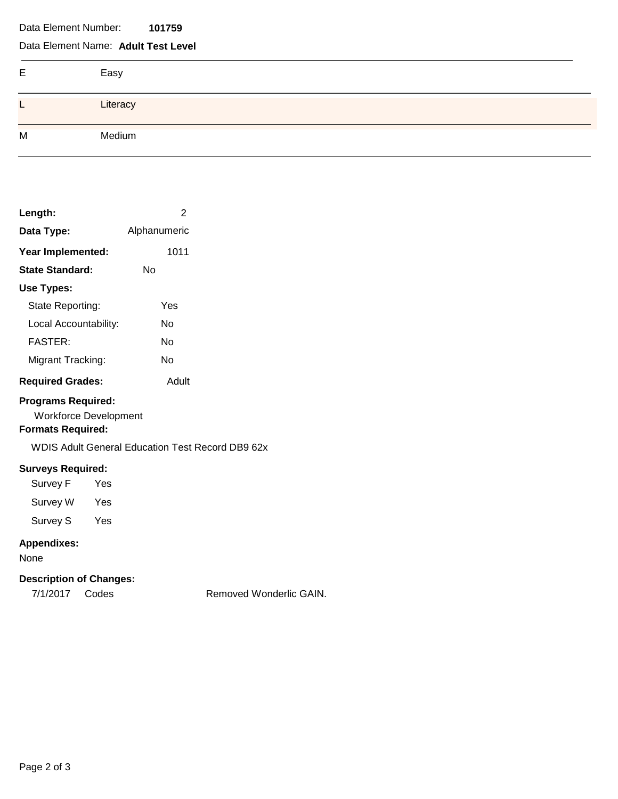Data Element Number: **101759** 

## Data Element Name: **Adult Test Level**

| Е | Easy     |
|---|----------|
| – | Literacy |
| M | Medium   |

| Length:                                                                               | 2            |                                                         |  |  |
|---------------------------------------------------------------------------------------|--------------|---------------------------------------------------------|--|--|
| Data Type:                                                                            | Alphanumeric |                                                         |  |  |
| Year Implemented:                                                                     | 1011         |                                                         |  |  |
| <b>State Standard:</b>                                                                | No           |                                                         |  |  |
| Use Types:                                                                            |              |                                                         |  |  |
| State Reporting:                                                                      | Yes          |                                                         |  |  |
| Local Accountability:                                                                 | No           |                                                         |  |  |
| <b>FASTER:</b>                                                                        |              | No                                                      |  |  |
| Migrant Tracking:                                                                     |              | No                                                      |  |  |
| <b>Required Grades:</b>                                                               |              | Adult                                                   |  |  |
| <b>Programs Required:</b><br><b>Workforce Development</b><br><b>Formats Required:</b> |              | <b>WDIS Adult General Education Test Record DB9 62x</b> |  |  |
| <b>Surveys Required:</b><br>Survey F Yes<br>Survey W Yes<br>Survey S Yes              |              |                                                         |  |  |
| <b>Appendixes:</b><br>None                                                            |              |                                                         |  |  |
| <b>Description of Changes:</b>                                                        |              |                                                         |  |  |
| 7/1/2017 Codes                                                                        |              | <b>Removed Wor</b>                                      |  |  |

ved Wonderlic GAIN.